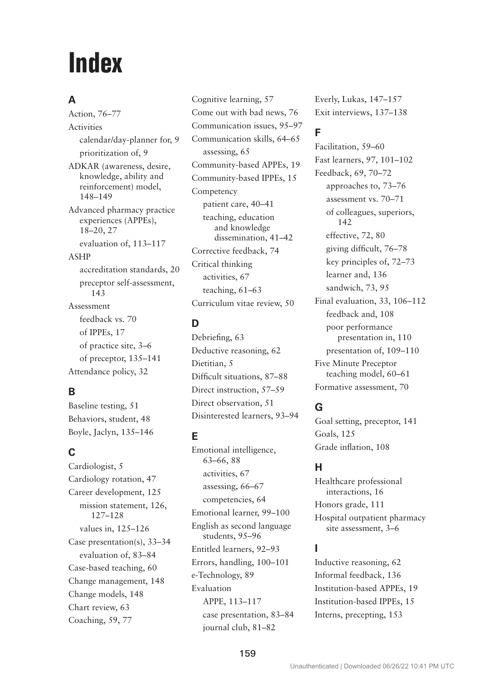# **Index**

## **A**

Action, 76–77 Activities calendar/day-planner for, 9 prioritization of, 9 ADKAR (awareness, desire, knowledge, ability and reinforcement) model, 148–149 Advanced pharmacy practice experiences (APPEs), 18–20, 27 evaluation of, 113–117 ASHP accreditation standards, 20 preceptor self-assessment, 143 Assessment feedback vs. 70 of IPPEs, 17 of practice site, 3–6 of preceptor, 135–141 Attendance policy, 32

## **B**

Baseline testing, 51 Behaviors, student, 48 Boyle, Jaclyn, 135–146

# **C**

Cardiologist, 5 Cardiology rotation, 47 Career development, 125 mission statement, 126, 127–128 values in, 125–126 Case presentation(s), 33–34 evaluation of, 83–84 Case-based teaching, 60 Change management, 148 Change models, 148 Chart review, 63 Coaching, 59, 77

Cognitive learning, 57 Come out with bad news, 76 Communication issues, 95–97 Communication skills, 64–65 assessing, 65 Community-based APPEs, 19 Community-based IPPEs, 15 Competency patient care, 40–41 teaching, education and knowledge dissemination, 41–42 Corrective feedback, 74 Critical thinking activities, 67 teaching, 61–63 Curriculum vitae review, 50

## **D**

Debriefing, 63 Deductive reasoning, 62 Dietitian, 5 Difficult situations, 87–88 Direct instruction, 57–59 Direct observation, 51 Disinterested learners, 93–94

## **E**

Emotional intelligence, 63–66, 88 activities, 67 assessing, 66–67 competencies, 64 Emotional learner, 99–100 English as second language students, 95–96 Entitled learners, 92–93 Errors, handling, 100–101 e-Technology, 89 Evaluation APPE, 113–117 case presentation, 83–84 journal club, 81–82

Everly, Lukas, 147–157 Exit interviews, 137–138

## **F**

Facilitation, 59–60 Fast learners, 97, 101–102 Feedback, 69, 70–72 approaches to, 73–76 assessment vs. 70–71 of colleagues, superiors, 142 effective, 72, 80 giving difficult, 76–78 key principles of, 72–73 learner and, 136 sandwich, 73, 95 Final evaluation, 33, 106–112 feedback and, 108 poor performance presentation in, 110 presentation of, 109–110 Five Minute Preceptor teaching model, 60–61 Formative assessment, 70

## **G**

Goal setting, preceptor, 141 Goals, 125 Grade inflation, 108

## **H**

Healthcare professional interactions, 16 Honors grade, 111 Hospital outpatient pharmacy site assessment, 3–6

## **I**

Inductive reasoning, 62 Informal feedback, 136 Institution-based APPEs, 19 Institution-based IPPEs, 15 Interns, precepting, 153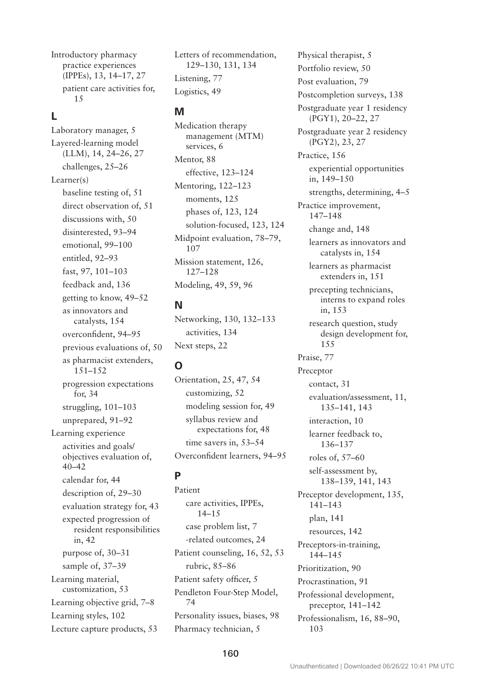Introductory pharmacy practice experiences (IPPEs), 13, 14–17, 27 patient care activities for, 15

## **L**

Laboratory manager, 5 Layered-learning model (LLM), 14, 24–26, 27 challenges, 25–26 Learner(s) baseline testing of, 51 direct observation of, 51 discussions with, 50 disinterested, 93–94 emotional, 99–100 entitled, 92–93 fast, 97, 101–103 feedback and, 136 getting to know, 49–52 as innovators and catalysts, 154 overconfident, 94–95 previous evaluations of, 50 as pharmacist extenders, 151–152 progression expectations for, 34 struggling, 101–103 unprepared, 91–92 Learning experience activities and goals/ objectives evaluation of, 40–42 calendar for, 44 description of, 29–30 evaluation strategy for, 43 expected progression of resident responsibilities in, 42 purpose of, 30–31 sample of, 37–39 Learning material, customization, 53 Learning objective grid, 7–8 Learning styles, 102

Lecture capture products, 53

Letters of recommendation, 129–130, 131, 134 Listening, 77 Logistics, 49

#### **M**

Medication therapy management (MTM) services, 6 Mentor, 88 effective, 123–124 Mentoring, 122–123 moments, 125 phases of, 123, 124 solution-focused, 123, 124 Midpoint evaluation, 78–79, 107 Mission statement, 126, 127–128 Modeling, 49, 59, 96

#### **N**

Networking, 130, 132–133 activities, 134 Next steps, 22

# **O**

Orientation, 25, 47, 54 customizing, 52 modeling session for, 49 syllabus review and expectations for, 48 time savers in, 53–54 Overconfident learners, 94–95

## **P**

Patient care activities, IPPEs, 14–15 case problem list, 7 -related outcomes, 24 Patient counseling, 16, 52, 53 rubric, 85–86 Patient safety officer, 5 Pendleton Four-Step Model, 74 Personality issues, biases, 98 Pharmacy technician, 5

Physical therapist, 5 Portfolio review, 50 Post evaluation, 79 Postcompletion surveys, 138 Postgraduate year 1 residency (PGY1), 20–22, 27 Postgraduate year 2 residency (PGY2), 23, 27 Practice, 156 experiential opportunities in, 149–150 strengths, determining, 4–5 Practice improvement, 147–148 change and, 148 learners as innovators and catalysts in, 154 learners as pharmacist extenders in, 151 precepting technicians, interns to expand roles in, 153 research question, study design development for, 155 Praise, 77 Preceptor contact, 31 evaluation/assessment, 11, 135–141, 143 interaction, 10 learner feedback to, 136–137 roles of, 57–60 self-assessment by, 138–139, 141, 143 Preceptor development, 135, 141–143 plan, 141 resources, 142 Preceptors-in-training, 144–145 Prioritization, 90 Procrastination, 91 Professional development, preceptor, 141–142 Professionalism, 16, 88–90, 103